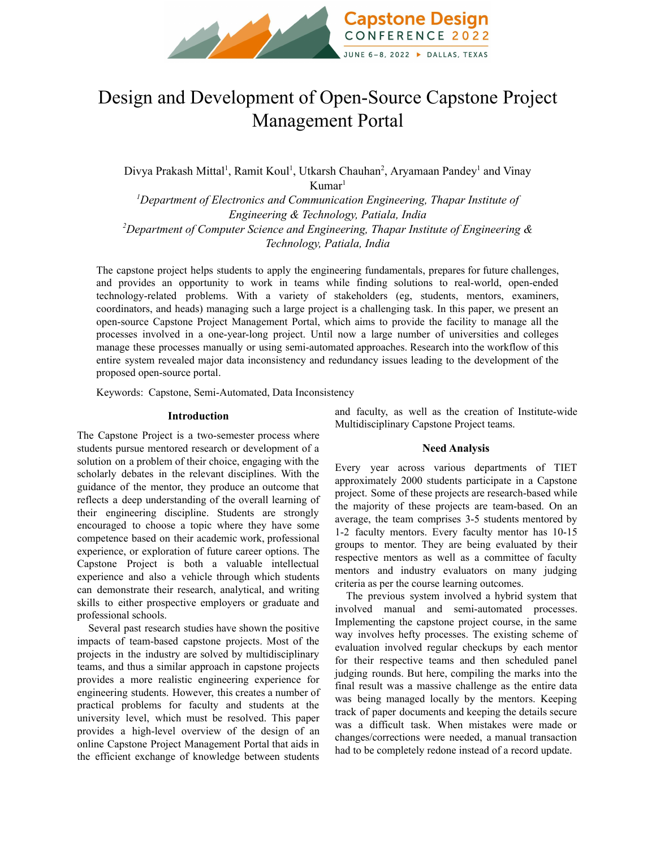

# Design and Development of Open-Source Capstone Project Management Portal

Divya Prakash Mittal<sup>1</sup>, Ramit Koul<sup>1</sup>, Utkarsh Chauhan<sup>2</sup>, Aryamaan Pandey<sup>1</sup> and Vinay Kumar 1 *<sup>1</sup>Department of Electronics and Communication Engineering, Thapar Institute of Engineering & Technology, Patiala, India <sup>2</sup>Department of Computer Science and Engineering, Thapar Institute of Engineering &*

*Technology, Patiala, India*

The capstone project helps students to apply the engineering fundamentals, prepares for future challenges, and provides an opportunity to work in teams while finding solutions to real-world, open-ended technology-related problems. With a variety of stakeholders (eg, students, mentors, examiners, coordinators, and heads) managing such a large project is a challenging task. In this paper, we present an open-source Capstone Project Management Portal, which aims to provide the facility to manage all the processes involved in a one-year-long project. Until now a large number of universities and colleges manage these processes manually or using semi-automated approaches. Research into the workflow of this entire system revealed major data inconsistency and redundancy issues leading to the development of the proposed open-source portal.

Keywords: Capstone, Semi-Automated, Data Inconsistency

#### **Introduction**

The Capstone Project is a two-semester process where students pursue mentored research or development of a solution on a problem of their choice, engaging with the scholarly debates in the relevant disciplines. With the guidance of the mentor, they produce an outcome that reflects a deep understanding of the overall learning of their engineering discipline. Students are strongly encouraged to choose a topic where they have some competence based on their academic work, professional experience, or exploration of future career options. The Capstone Project is both a valuable intellectual experience and also a vehicle through which students can demonstrate their research, analytical, and writing skills to either prospective employers or graduate and professional schools.

Several past research studies have shown the positive impacts of team-based capstone projects. Most of the projects in the industry are solved by multidisciplinary teams, and thus a similar approach in capstone projects provides a more realistic engineering experience for engineering students. However, this creates a number of practical problems for faculty and students at the university level, which must be resolved. This paper provides a high-level overview of the design of an online Capstone Project Management Portal that aids in the efficient exchange of knowledge between students

and faculty, as well as the creation of Institute-wide Multidisciplinary Capstone Project teams.

#### **Need Analysis**

Every year across various departments of TIET approximately 2000 students participate in a Capstone project. Some of these projects are research-based while the majority of these projects are team-based. On an average, the team comprises 3-5 students mentored by 1-2 faculty mentors. Every faculty mentor has 10-15 groups to mentor. They are being evaluated by their respective mentors as well as a committee of faculty mentors and industry evaluators on many judging criteria as per the course learning outcomes.

The previous system involved a hybrid system that involved manual and semi-automated processes. Implementing the capstone project course, in the same way involves hefty processes. The existing scheme of evaluation involved regular checkups by each mentor for their respective teams and then scheduled panel judging rounds. But here, compiling the marks into the final result was a massive challenge as the entire data was being managed locally by the mentors. Keeping track of paper documents and keeping the details secure was a difficult task. When mistakes were made or changes/corrections were needed, a manual transaction had to be completely redone instead of a record update.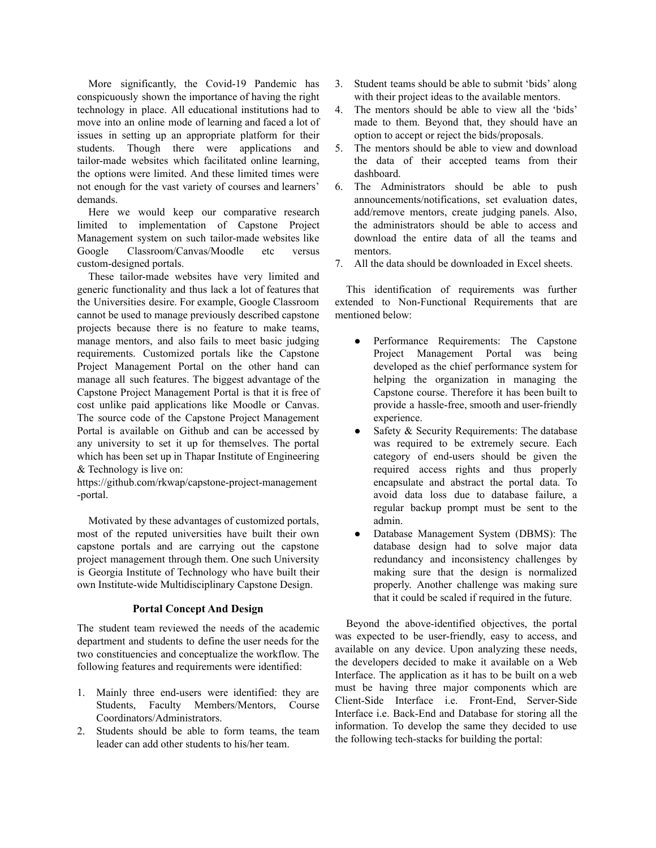More significantly, the Covid-19 Pandemic has conspicuously shown the importance of having the right technology in place. All educational institutions had to move into an online mode of learning and faced a lot of issues in setting up an appropriate platform for their students. Though there were applications and tailor-made websites which facilitated online learning, the options were limited. And these limited times were not enough for the vast variety of courses and learners' demands.

Here we would keep our comparative research limited to implementation of Capstone Project Management system on such tailor-made websites like Google Classroom/Canvas/Moodle etc versus custom-designed portals.

These tailor-made websites have very limited and generic functionality and thus lack a lot of features that the Universities desire. For example, Google Classroom cannot be used to manage previously described capstone projects because there is no feature to make teams, manage mentors, and also fails to meet basic judging requirements. Customized portals like the Capstone Project Management Portal on the other hand can manage all such features. The biggest advantage of the Capstone Project Management Portal is that it is free of cost unlike paid applications like Moodle or Canvas. The source code of the Capstone Project Management Portal is available on Github and can be accessed by any university to set it up for themselves. The portal which has been set up in Thapar Institute of Engineering & Technology is live on:

https://github.com/rkwap/capstone-project-management -portal.

Motivated by these advantages of customized portals, most of the reputed universities have built their own capstone portals and are carrying out the capstone project management through them. One such University is Georgia Institute of Technology who have built their own Institute-wide Multidisciplinary Capstone Design.

## **Portal Concept And Design**

The student team reviewed the needs of the academic department and students to define the user needs for the two constituencies and conceptualize the workflow. The following features and requirements were identified:

- 1. Mainly three end-users were identified: they are Students, Faculty Members/Mentors, Course Coordinators/Administrators.
- 2. Students should be able to form teams, the team leader can add other students to his/her team.
- 3. Student teams should be able to submit 'bids' along with their project ideas to the available mentors.
- 4. The mentors should be able to view all the 'bids' made to them. Beyond that, they should have an option to accept or reject the bids/proposals.
- 5. The mentors should be able to view and download the data of their accepted teams from their dashboard.
- 6. The Administrators should be able to push announcements/notifications, set evaluation dates, add/remove mentors, create judging panels. Also, the administrators should be able to access and download the entire data of all the teams and mentors.
- 7. All the data should be downloaded in Excel sheets.

This identification of requirements was further extended to Non-Functional Requirements that are mentioned below:

- Performance Requirements: The Capstone Project Management Portal was being developed as the chief performance system for helping the organization in managing the Capstone course. Therefore it has been built to provide a hassle-free, smooth and user-friendly experience.
- Safety  $&$  Security Requirements: The database was required to be extremely secure. Each category of end-users should be given the required access rights and thus properly encapsulate and abstract the portal data. To avoid data loss due to database failure, a regular backup prompt must be sent to the admin.
- Database Management System (DBMS): The database design had to solve major data redundancy and inconsistency challenges by making sure that the design is normalized properly. Another challenge was making sure that it could be scaled if required in the future.

Beyond the above-identified objectives, the portal was expected to be user-friendly, easy to access, and available on any device. Upon analyzing these needs, the developers decided to make it available on a Web Interface. The application as it has to be built on a web must be having three major components which are Client-Side Interface i.e. Front-End, Server-Side Interface i.e. Back-End and Database for storing all the information. To develop the same they decided to use the following tech-stacks for building the portal: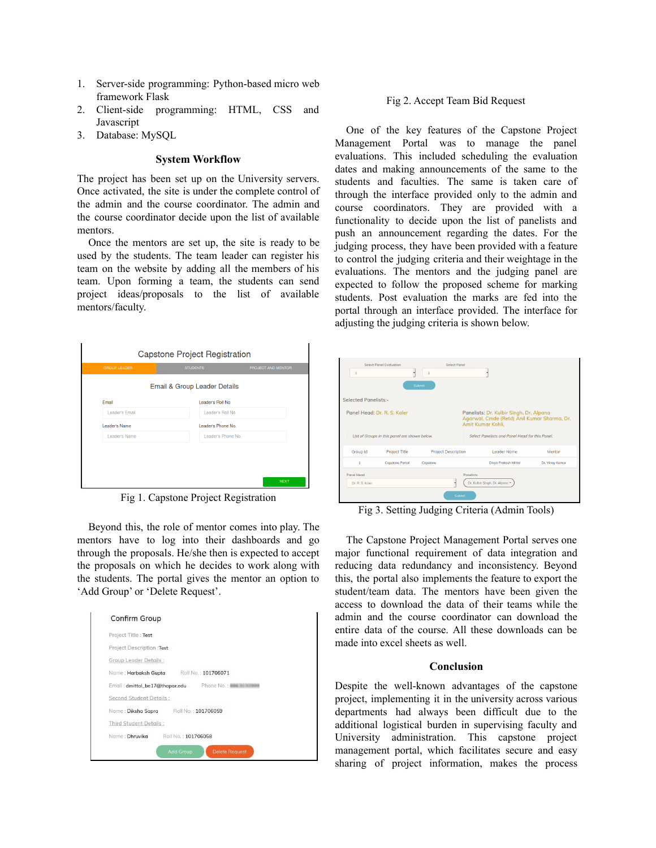- 1. Server-side programming: Python-based micro web framework Flask
- 2. Client-side programming: HTML, CSS and Javascript
- 3. Database: MySQL

## **System Workflow**

The project has been set up on the University servers. Once activated, the site is under the complete control of the admin and the course coordinator. The admin and the course coordinator decide upon the list of available mentors.

Once the mentors are set up, the site is ready to be used by the students. The team leader can register his team on the website by adding all the members of his team. Upon forming a team, the students can send project ideas/proposals to the list of available mentors/faculty.



Fig 1. Capstone Project Registration

Beyond this, the role of mentor comes into play. The mentors have to log into their dashboards and go through the proposals. He/she then is expected to accept the proposals on which he decides to work along with the students. The portal gives the mentor an option to 'Add Group' or 'Delete Request'.



#### Fig 2. Accept Team Bid Request

One of the key features of the Capstone Project Management Portal was to manage the panel evaluations. This included scheduling the evaluation dates and making announcements of the same to the students and faculties. The same is taken care of through the interface provided only to the admin and course coordinators. They are provided with a functionality to decide upon the list of panelists and push an announcement regarding the dates. For the judging process, they have been provided with a feature to control the judging criteria and their weightage in the evaluations. The mentors and the judging panel are expected to follow the proposed scheme for marking students. Post evaluation the marks are fed into the portal through an interface provided. The interface for adjusting the judging criteria is shown below.

| <b>Select Panel Evaluation</b><br>Select Panel<br>1<br>1<br>Submit |                        |          |                            |                                                                                                             |                 |  |
|--------------------------------------------------------------------|------------------------|----------|----------------------------|-------------------------------------------------------------------------------------------------------------|-----------------|--|
| <b>Selected Panelists:-</b>                                        |                        |          |                            |                                                                                                             |                 |  |
| Panel Head: Dr. R. S. Kaler                                        |                        |          |                            | Panelists: Dr. Kulbir Singh, Dr. Alpana<br>Agarwal, Cmde (Retd) Anil Kumar Sharma, Dr.<br>Amit Kumar Kohli. |                 |  |
| List of Groups in this panel are shown below.                      |                        |          |                            | Select Panelists and Panel Head for this Panel.                                                             |                 |  |
| Group Id                                                           | Project Title          |          | <b>Project Description</b> | Leader Name                                                                                                 | Mentor          |  |
| ٠                                                                  | <b>Capstone Portal</b> | Copstone |                            | <b>Divva Prakash Mittal</b>                                                                                 | Dr. Vinav Kumar |  |
| <b>Panel Head</b><br><b>Panelists</b>                              |                        |          |                            |                                                                                                             |                 |  |
| Dr. R. S. Koler                                                    |                        |          |                            | Dr. Kulbir Singh, Dr. Alpanc *                                                                              |                 |  |
| Submit                                                             |                        |          |                            |                                                                                                             |                 |  |

Fig 3. Setting Judging Criteria (Admin Tools)

The Capstone Project Management Portal serves one major functional requirement of data integration and reducing data redundancy and inconsistency. Beyond this, the portal also implements the feature to export the student/team data. The mentors have been given the access to download the data of their teams while the admin and the course coordinator can download the entire data of the course. All these downloads can be made into excel sheets as well.

## **Conclusion**

Despite the well-known advantages of the capstone project, implementing it in the university across various departments had always been difficult due to the additional logistical burden in supervising faculty and University administration. This capstone project management portal, which facilitates secure and easy sharing of project information, makes the process